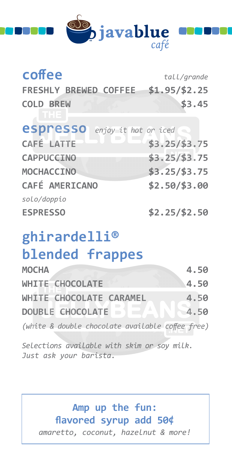

| coffee                           | tall/grande    |
|----------------------------------|----------------|
| FRESHLY BREWED COFFEE            | $$1.95/\$2.25$ |
| <b>COLD BREW</b><br>THE.         | \$3.45         |
| espresso<br>enjoy it hot or iced |                |
| <b>CAFÉ LATTE</b>                | $$3.25/\$3.75$ |
| <b>CAPPUCEINO</b>                | \$3.25/\$3.75  |
| <b>MOCHACCINO</b>                | \$3.25/\$3.75  |
| <b>CAFÉ AMERICANO</b>            | \$2.50/\$3.00  |
| solo/doppio                      |                |
| <b>ESPRESSO</b>                  | $$2.25/\$2.50$ |

# **ghirardelli® blended frappes**

| <b>MOCHA</b>                                     | 4.50    |
|--------------------------------------------------|---------|
| WHITE CHOCOLATE                                  | 4.50    |
| WHITE CHOCOLATE CARAMEL                          | 4.50    |
| DOUBLE CHOCOLATE DI                              | $-4.50$ |
| (white & double chocolate available coffee free) |         |

*Selections available with skim or soy milk. Just ask your barista.*

> **Amp up the fun: flavored syrup add 50¢**  *amaretto, coconut, hazelnut & more!*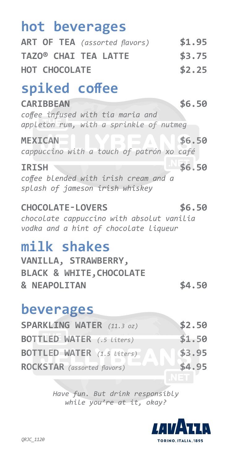# **hot beverages**

| <b>ART OF TEA</b> (assorted flavors) | \$1.95 |
|--------------------------------------|--------|
| <b>TAZO® CHAI TEA LATTE</b>          | \$3.75 |
| <b>HOT CHOCOLATE</b>                 | \$2.25 |

# **spiked coffee**

**CARIBBEAN \$6.50** *coffee infused with tia maria and appleton rum, with a sprinkle of nutmeg*

#### **MEXICAN below the set of the set of the set of the set of the set of the set of the set of the set of the set of the set of the set of the set of the set of the set of the set of the set of the set of the set of the set**

*cappuccino with a touch of patrón xo café*

#### **IRISH \$6.50**

*coffee blended with irish cream and a splash of jameson irish whiskey*

### **CHOCOLATE-LOVERS \$6.50**

*chocolate cappuccino with absolut vanilia vodka and a hint of chocolate liqueur*

### **milk shakes**

|                         | VANILLA, STRAWBERRY,                |        |
|-------------------------|-------------------------------------|--------|
|                         | <b>BLACK &amp; WHITE, CHOCOLATE</b> |        |
| <b>&amp; NEAPOLITAN</b> |                                     | \$4.50 |

### **beverages**

| <b>SPARKLING WATER</b> (11.3 oz)   | \$2.50 |
|------------------------------------|--------|
| <b>BOTTLED WATER</b> (.5 Liters)   | \$1.50 |
| <b>BOTTLED WATER</b> (1.5 Liters)  | \$3.95 |
| <b>ROCKSTAR</b> (assorted flavors) | \$4.95 |

*Have fun. But drink responsibly while you're at it, okay?*

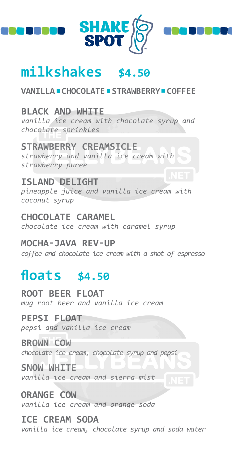





### **milkshakes \$4.50**

#### **VANILLA CHOCOLATE STRAWBERRY COFFEE**

#### **BLACK AND WHITE**

*vanilla ice cream with chocolate syrup and chocolate sprinkles*

#### **STRAWBERRY CREAMSICLE**

*strawberry and vanilla ice cream with strawberry puree*

#### **ISLAND DELIGHT**

*pineapple juice and vanilla ice cream with coconut syrup*

#### **CHOCOLATE CARAMEL**

*chocolate ice cream with caramel syrup*

#### **MOCHA-JAVA REV-UP**

*coffee and chocolate ice cream with a shot of espresso*

### **floats \$4.50**

**ROOT BEER FLOAT** *mug root beer and vanilla ice cream*

#### **PEPSI FLOAT**

*pepsi and vanilla ice cream*

#### **BROWN COW**

*chocolate ice cream, chocolate syrup and pepsi*

#### **SNOW WHITE** *vanilla ice cream and sierra mist*

**ORANGE COW** *vanilla ice cream and orange soda*

#### **ICE CREAM SODA** *vanilla ice cream, chocolate syrup and soda water*